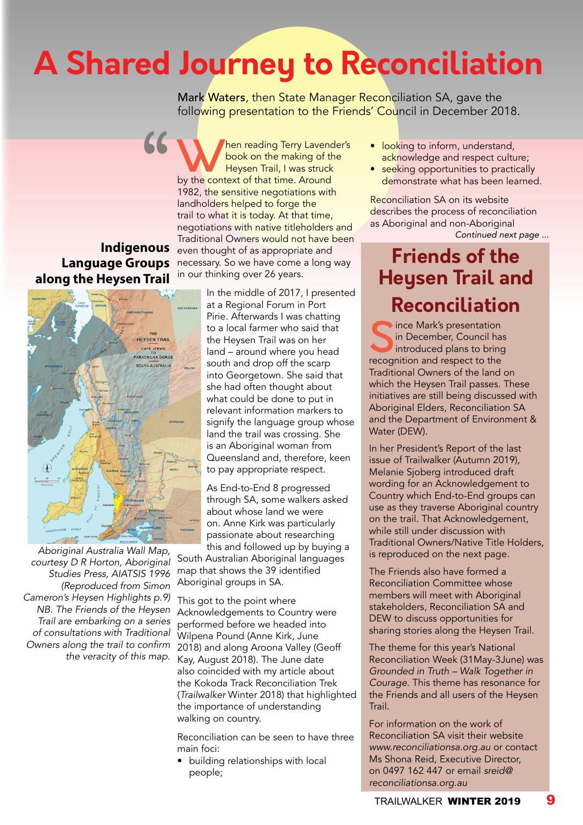# **A Shared Journey to Reconciliation**

Mark Waters, then State Manager Reconciliation SA, gave the following presentation to the Friends' Council in December 2018.

**Indigenous Language Groups along the Heysen Trail**

"



Aboriginal Australia Wall Map, courtesy D R Horton, Aboriginal Studies Press, AIATSIS 1996 (Reproduced from Simon Cameron's Heysen Highlights p.9) *NB. The Friends of the Heysen*  Trail are embarking on a series *of consultations with Traditional*  Owners along the trail to confirm the veracity of this map.

Men reading Terry Lavender's<br>
book on the making of the<br>
by the context of that time. Around book on the making of the Heysen Trail, I was struck 1982, the sensitive negotiations with landholders helped to forge the trail to what it is today. At that time, negotiations with native titleholders and Traditional Owners would not have been even thought of as appropriate and necessary. So we have come a long way in our thinking over 26 years.

> In the middle of 2017, I presented at a Regional Forum in Port Pirie. Afterwards I was chatting to a local farmer who said that the Heysen Trail was on her land – around where you head south and drop off the scarp into Georgetown. She said that she had often thought about what could be done to put in relevant information markers to signify the language group whose land the trail was crossing. She is an Aboriginal woman from Queensland and, therefore, keen to pay appropriate respect.

As End-to-End 8 progressed through SA, some walkers asked about whose land we were on. Anne Kirk was particularly passionate about researching this and followed up by buying a

South Australian Aboriginal languages map that shows the 39 identified Aboriginal groups in SA.

This got to the point where Acknowledgements to Country were performed before we headed into Wilpena Pound (Anne Kirk, June 2018) and along Aroona Valley (Geoff Kay, August 2018). The June date also coincided with my article about the Kokoda Track Reconciliation Trek (*Trailwalker* Winter 2018) that highlighted the importance of understanding walking on country.

Reconciliation can be seen to have three main foci:

• building relationships with local people;

- looking to inform, understand, acknowledge and respect culture;
- seeking opportunities to practically demonstrate what has been learned.

*Continued next page ...* Reconciliation SA on its website describes the process of reconciliation as Aboriginal and non-Aboriginal

## **Friends of the Heysen Trail and Reconciliation**

Since Mark's presentation<br>in December, Council has<br>introduced plans to bring<br>recognition and respect to the in December, Council has introduced plans to bring recognition and respect to the Traditional Owners of the land on which the Heysen Trail passes. These initiatives are still being discussed with Aboriginal Elders, Reconciliation SA and the Department of Environment & Water (DEW).

In her President's Report of the last issue of Trailwalker (Autumn 2019), Melanie Sjoberg introduced draft wording for an Acknowledgement to Country which End-to-End groups can use as they traverse Aboriginal country on the trail. That Acknowledgement, while still under discussion with Traditional Owners/Native Title Holders, is reproduced on the next page.

The Friends also have formed a Reconciliation Committee whose members will meet with Aboriginal stakeholders, Reconciliation SA and DEW to discuss opportunities for sharing stories along the Heysen Trail.

The theme for this year's National Reconciliation Week (31May-3June) was Grounded in Truth – Walk Together in Courage. This theme has resonance for the Friends and all users of the Heysen Trail.

For information on the work of Reconciliation SA visit their website www.reconciliationsa.org.au or contact Ms Shona Reid, Executive Director, on 0497 162 447 or email *sreid@* reconciliationsa.org.au